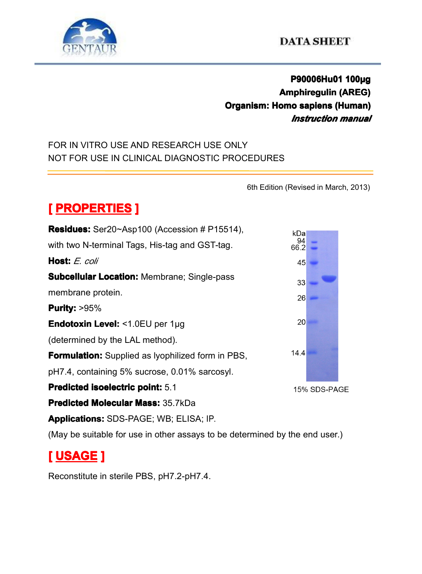

## **P90006Hu01 P90006Hu01P90006Hu01 100µg Amphiregulin Amphiregulin(AREG) Organism: Organism: Homo sapiens sapiens sapienssapiens(Human) (Human)** *Instruction manual*

### FOR IN VITRO USE AND RESEARCH USE ONLY NOT FOR USE IN CLINICAL DIAGNOSTIC PROCEDURES

6th Edition (Revised in March, 2013)

# $[$  **PROPERTIES P**

| <b>Residues:</b> Ser20~Asp100 (Accession # P15514),                         | kDal       |              |  |
|-----------------------------------------------------------------------------|------------|--------------|--|
| with two N-terminal Tags, His-tag and GST-tag.                              | 94<br>66.2 |              |  |
| <b>Host:</b> E. coli                                                        | 45         |              |  |
| <b>Subcellular Location: Membrane; Single-pass</b>                          | 33         |              |  |
| membrane protein.                                                           | 26         |              |  |
| <b>Purity: &gt;95%</b>                                                      |            |              |  |
| <b>Endotoxin Level: &lt;1.0EU per 1µg</b>                                   | 20         |              |  |
| (determined by the LAL method).                                             |            |              |  |
| <b>Formulation:</b> Supplied as Iyophilized form in PBS,                    | 14.4       |              |  |
| pH7.4, containing 5% sucrose, 0.01% sarcosyl.                               |            |              |  |
| <b>Predicted isoelectric point: 5.1</b>                                     |            | 15% SDS-PAGE |  |
| <b>Predicted Molecular Mass: 35.7kDa</b>                                    |            |              |  |
| <b>Applications:</b> SDS-PAGE; WB; ELISA; IP.                               |            |              |  |
| (May be suitable for use in other assays to be determined by the end user.) |            |              |  |

# **[ USAGE ]**

Reconstitute in sterile PBS, pH7.2-pH7.4.